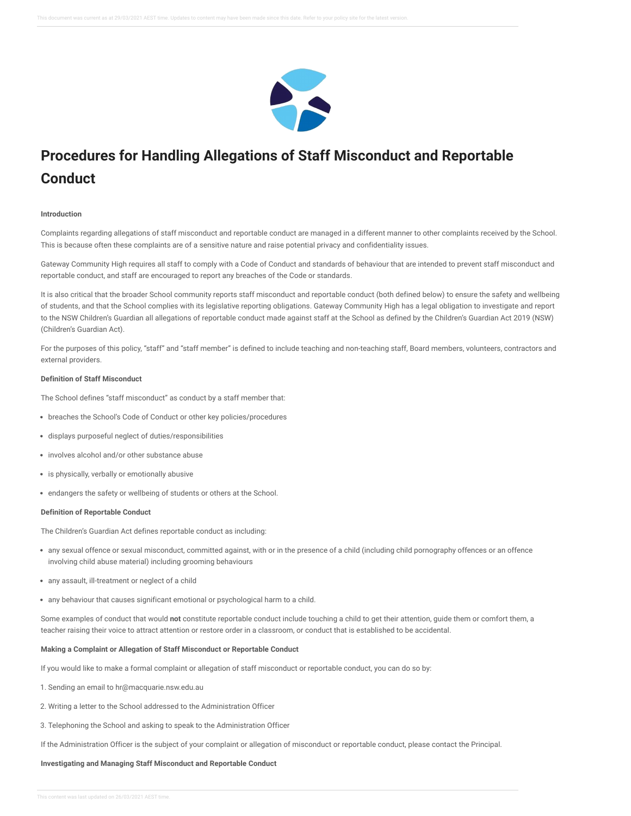

# **Procedures for Handling Allegations of Staff Misconduct and Reportable Conduct**

## **Introduction**

Complaints regarding allegations of staff misconduct and reportable conduct are managed in a different manner to other complaints received by the School. This is because often these complaints are of a sensitive nature and raise potential privacy and confidentiality issues.

Gateway Community High requires all staff to comply with a Code of Conduct and standards of behaviour that are intended to prevent staff misconduct and reportable conduct, and staff are encouraged to report any breaches of the Code or standards.

It is also critical that the broader School community reports staff misconduct and reportable conduct (both defined below) to ensure the safety and wellbeing of students, and that the School complies with its legislative reporting obligations. Gateway Community High has a legal obligation to investigate and report to the NSW Children's Guardian all allegations of reportable conduct made against staff at the School as defined by the Children's Guardian Act 2019 (NSW) (Children's Guardian Act).

For the purposes of this policy, "staff" and "staff member" is defined to include teaching and non-teaching staff, Board members, volunteers, contractors and external providers.

## **Definition of Staff Misconduct**

The School defines "staff misconduct" as conduct by a staff member that:

- breaches the School's Code of Conduct or other key policies/procedures
- displays purposeful neglect of duties/responsibilities
- involves alcohol and/or other substance abuse
- is physically, verbally or emotionally abusive
- endangers the safety or wellbeing of students or others at the School.

## **Definition of Reportable Conduct**

The Children's Guardian Act defines reportable conduct as including:

- any sexual offence or sexual misconduct, committed against, with or in the presence of a child (including child pornography offences or an offence involving child abuse material) including grooming behaviours
- any assault, ill-treatment or neglect of a child
- any behaviour that causes significant emotional or psychological harm to a child.

Some examples of conduct that would **not** constitute reportable conduct include touching a child to get their attention, guide them or comfort them, a teacher raising their voice to attract attention or restore order in a classroom, or conduct that is established to be accidental.

## **Making a Complaint or Allegation of Staff Misconduct or Reportable Conduct**

If you would like to make a formal complaint or allegation of staff misconduct or reportable conduct, you can do so by:

- 1. Sending an email to hr@macquarie.nsw.edu.au
- 2. Writing a letter to the School addressed to the Administration Officer
- 3. Telephoning the School and asking to speak to the Administration Officer

If the Administration Officer is the subject of your complaint or allegation of misconduct or reportable conduct, please contact the Principal.

## **Investigating and Managing Staff Misconduct and Reportable Conduct**